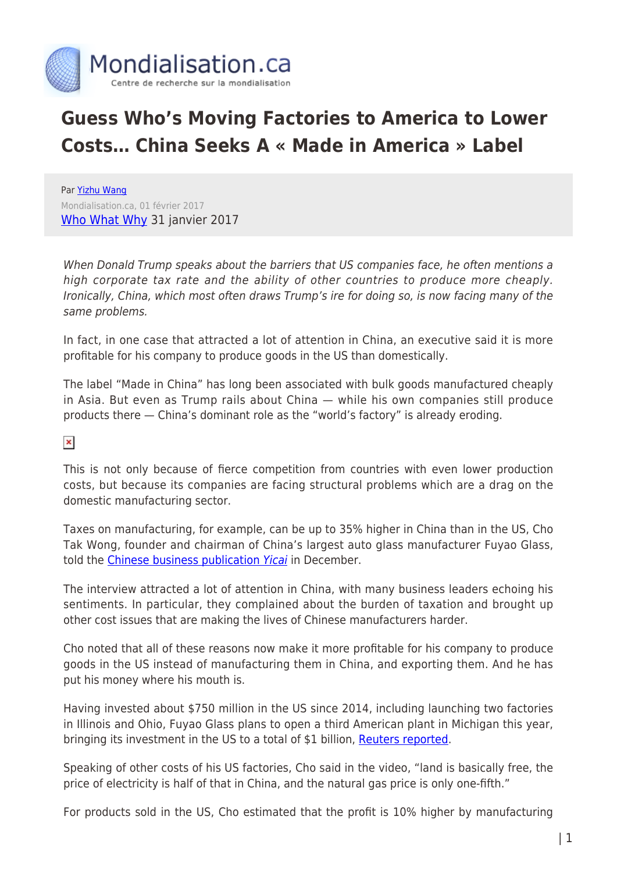

## **Guess Who's Moving Factories to America to Lower Costs… China Seeks A « Made in America » Label**

Par [Yizhu Wang](https://www.mondialisation.ca/author/yizhu) Mondialisation.ca, 01 février 2017 [Who What Why](http://whowhatwhy.org/2017/01/31/guess-whos-moving-factories-america-lower-costs/) 31 janvier 2017

When Donald Trump speaks about the barriers that US companies face, he often mentions a high corporate tax rate and the ability of other countries to produce more cheaply. Ironically, China, which most often draws Trump's ire for doing so, is now facing many of the same problems.

In fact, in one case that attracted a lot of attention in China, an executive said it is more profitable for his company to produce goods in the US than domestically.

The label "Made in China" has long been associated with bulk goods manufactured cheaply in Asia. But even as Trump rails about China — while his own companies still produce products there — China's dominant role as the "world's factory" is already eroding.

 $\pmb{\times}$ 

This is not only because of fierce competition from countries with even lower production costs, but because its companies are facing structural problems which are a drag on the domestic manufacturing sector.

Taxes on manufacturing, for example, can be up to 35% higher in China than in the US, Cho Tak Wong, founder and chairman of China's largest auto glass manufacturer Fuyao Glass, told the [Chinese business publication](http://appshare.yicai.com/app/news/5184044.html) [Yicai](http://appshare.yicai.com/app/news/5184044.html) in December.

The interview attracted a lot of attention in China, with many business leaders echoing his sentiments. In particular, they complained about the burden of taxation and brought up other cost issues that are making the lives of Chinese manufacturers harder.

Cho noted that all of these reasons now make it more profitable for his company to produce goods in the US instead of manufacturing them in China, and exporting them. And he has put his money where his mouth is.

Having invested about \$750 million in the US since 2014, including launching two factories in Illinois and Ohio, Fuyao Glass plans to open a third American plant in Michigan this year, bringing its investment in the US to a total of \$1 billion, [Reuters reported.](http://www.reuters.com/article/us-fyg-usa-idUSKCN1262M0)

Speaking of other costs of his US factories, Cho said in the video, "land is basically free, the price of electricity is half of that in China, and the natural gas price is only one-fifth."

For products sold in the US, Cho estimated that the profit is 10% higher by manufacturing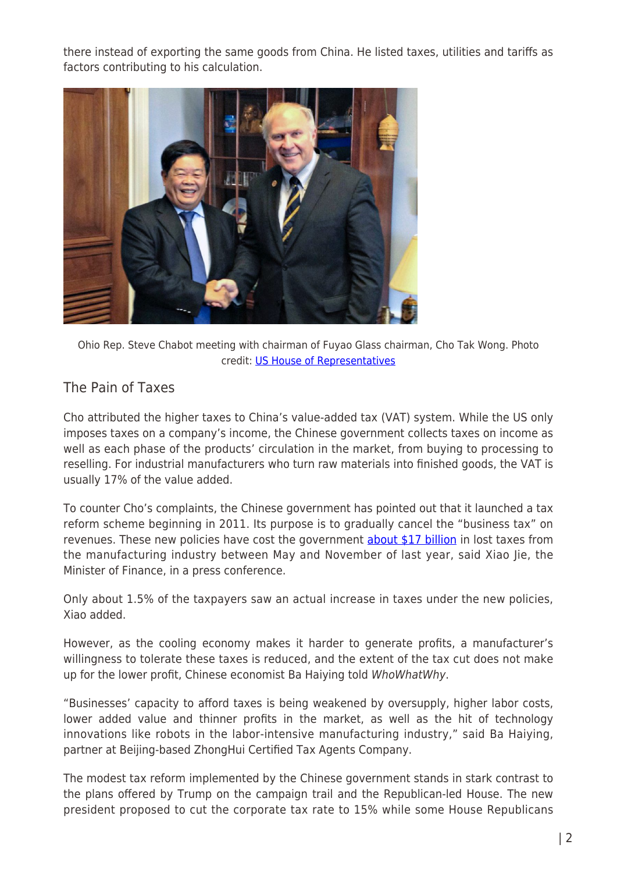there instead of exporting the same goods from China. He listed taxes, utilities and tariffs as factors contributing to his calculation.



Ohio Rep. Steve Chabot meeting with chairman of Fuyao Glass chairman, Cho Tak Wong. Photo credit: [US House of Representatives](http://chabot.house.gov/blog/?postid=359848)

## The Pain of Taxes

Cho attributed the higher taxes to China's value-added tax (VAT) system. While the US only imposes taxes on a company's income, the Chinese government collects taxes on income as well as each phase of the products' circulation in the market, from buying to processing to reselling. For industrial manufacturers who turn raw materials into finished goods, the VAT is usually 17% of the value added.

To counter Cho's complaints, the Chinese government has pointed out that it launched a tax reform scheme beginning in 2011. Its purpose is to gradually cancel the "business tax" on revenues. These new policies have cost the government **about \$17 billion** in lost taxes from the manufacturing industry between May and November of last year, said Xiao Jie, the Minister of Finance, in a press conference.

Only about 1.5% of the taxpayers saw an actual increase in taxes under the new policies, Xiao added.

However, as the cooling economy makes it harder to generate profits, a manufacturer's willingness to tolerate these taxes is reduced, and the extent of the tax cut does not make up for the lower profit, Chinese economist Ba Haiying told WhoWhatWhy.

"Businesses' capacity to afford taxes is being weakened by oversupply, higher labor costs, lower added value and thinner profits in the market, as well as the hit of technology innovations like robots in the labor-intensive manufacturing industry," said Ba Haiying, partner at Beijing-based ZhongHui Certified Tax Agents Company.

The modest tax reform implemented by the Chinese government stands in stark contrast to the plans offered by Trump on the campaign trail and the Republican-led House. The new president proposed to cut the corporate tax rate to 15% while some House Republicans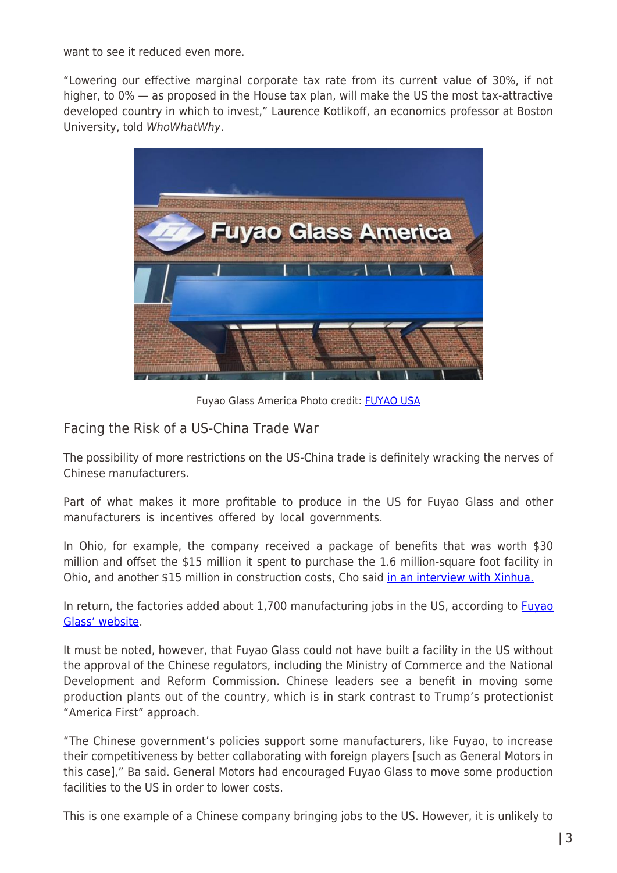want to see it reduced even more.

"Lowering our effective marginal corporate tax rate from its current value of 30%, if not higher, to 0% — as proposed in the House tax plan, will make the US the most tax-attractive developed country in which to invest," Laurence Kotlikoff, an economics professor at Boston University, told WhoWhatWhy.



Fuyao Glass America Photo credit: [FUYAO USA](http://www.fuyaousa.com/)

## Facing the Risk of a US-China Trade War

The possibility of more restrictions on the US-China trade is definitely wracking the nerves of Chinese manufacturers.

Part of what makes it more profitable to produce in the US for Fuyao Glass and other manufacturers is incentives offered by local governments.

In Ohio, for example, the company received a package of benefits that was worth \$30 million and offset the \$15 million it spent to purchase the 1.6 million-square foot facility in Ohio, and another \$15 million in construction costs, Cho said [in an interview with Xinhua.](http://news.xinhuanet.com/fortune/2016-12/27/c_1120193843.htm)

In return, the factories added about 1,700 manufacturing jobs in the US, according to **Fuyao** [Glass' website](http://www.fuyaousa.com/).

It must be noted, however, that Fuyao Glass could not have built a facility in the US without the approval of the Chinese regulators, including the Ministry of Commerce and the National Development and Reform Commission. Chinese leaders see a benefit in moving some production plants out of the country, which is in stark contrast to Trump's protectionist "America First" approach.

"The Chinese government's policies support some manufacturers, like Fuyao, to increase their competitiveness by better collaborating with foreign players [such as General Motors in this case]," Ba said. General Motors had encouraged Fuyao Glass to move some production facilities to the US in order to lower costs.

This is one example of a Chinese company bringing jobs to the US. However, it is unlikely to